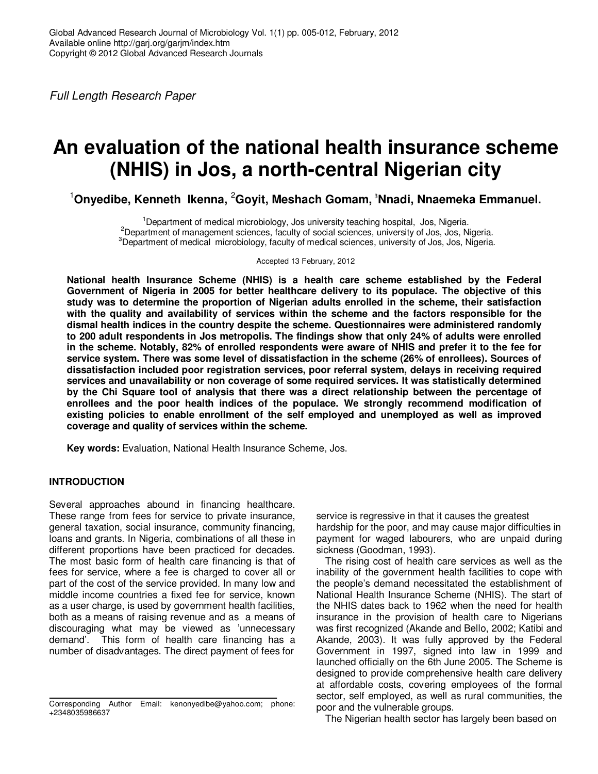Full Length Research Paper

# **An evaluation of the national health insurance scheme (NHIS) in Jos, a north-central Nigerian city**

<sup>1</sup>**Onyedibe, Kenneth Ikenna,** <sup>2</sup>**Goyit, Meshach Gomam,** <sup>3</sup>**Nnadi, Nnaemeka Emmanuel.** 

<sup>1</sup>Department of medical microbiology, Jos university teaching hospital, Jos, Nigeria.  $<sup>2</sup>$ Department of management sciences, faculty of social sciences, university of Jos, Jos, Nigeria.</sup>  $3$ Department of medical microbiology, faculty of medical sciences, university of Jos, Jos, Nigeria.

Accepted 13 February, 2012

**National health Insurance Scheme (NHIS) is a health care scheme established by the Federal Government of Nigeria in 2005 for better healthcare delivery to its populace. The objective of this study was to determine the proportion of Nigerian adults enrolled in the scheme, their satisfaction with the quality and availability of services within the scheme and the factors responsible for the dismal health indices in the country despite the scheme. Questionnaires were administered randomly to 200 adult respondents in Jos metropolis. The findings show that only 24% of adults were enrolled in the scheme. Notably, 82% of enrolled respondents were aware of NHIS and prefer it to the fee for service system. There was some level of dissatisfaction in the scheme (26% of enrollees). Sources of dissatisfaction included poor registration services, poor referral system, delays in receiving required services and unavailability or non coverage of some required services. It was statistically determined by the Chi Square tool of analysis that there was a direct relationship between the percentage of enrollees and the poor health indices of the populace. We strongly recommend modification of existing policies to enable enrollment of the self employed and unemployed as well as improved coverage and quality of services within the scheme.**

**Key words:** Evaluation, National Health Insurance Scheme, Jos.

## **INTRODUCTION**

Several approaches abound in financing healthcare. These range from fees for service to private insurance, general taxation, social insurance, community financing, loans and grants. In Nigeria, combinations of all these in different proportions have been practiced for decades. The most basic form of health care financing is that of fees for service, where a fee is charged to cover all or part of the cost of the service provided. In many low and middle income countries a fixed fee for service, known as a user charge, is used by government health facilities, both as a means of raising revenue and as a means of discouraging what may be viewed as 'unnecessary demand'. This form of health care financing has a number of disadvantages. The direct payment of fees for

service is regressive in that it causes the greatest hardship for the poor, and may cause major difficulties in payment for waged labourers, who are unpaid during sickness (Goodman, 1993).

The rising cost of health care services as well as the inability of the government health facilities to cope with the people's demand necessitated the establishment of National Health Insurance Scheme (NHIS). The start of the NHIS dates back to 1962 when the need for health insurance in the provision of health care to Nigerians was first recognized (Akande and Bello, 2002; Katibi and Akande, 2003). It was fully approved by the Federal Government in 1997, signed into law in 1999 and launched officially on the 6th June 2005. The Scheme is designed to provide comprehensive health care delivery at affordable costs, covering employees of the formal sector, self employed, as well as rural communities, the poor and the vulnerable groups.

The Nigerian health sector has largely been based on

Corresponding Author Email: kenonyedibe@yahoo.com; phone: +2348035986637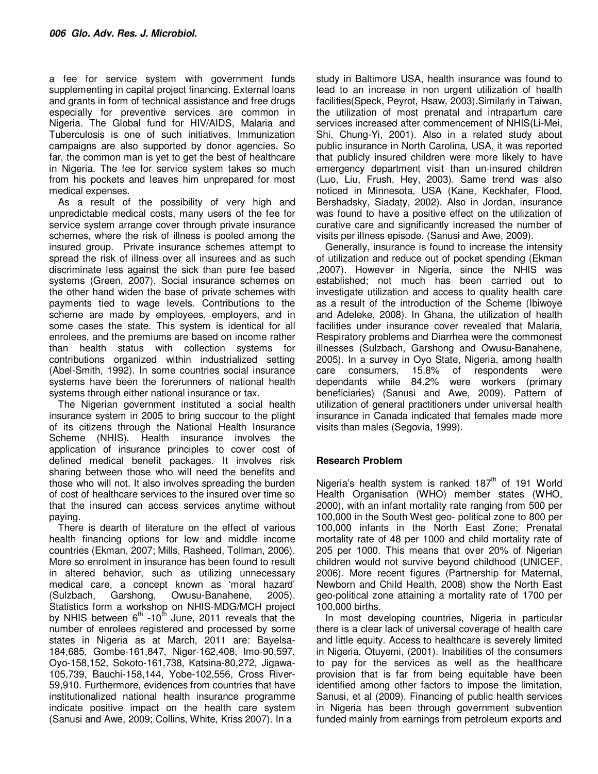a fee for service system with government funds supplementing in capital project financing. External loans and grants in form of technical assistance and free drugs especially for preventive services are common in Nigeria. The Global fund for HIV/AIDS, Malaria and Tuberculosis is one of such initiatives. Immunization campaigns are also supported by donor agencies. So far, the common man is yet to get the best of healthcare in Nigeria. The fee for service system takes so much from his pockets and leaves him unprepared for most medical expenses.

As a result of the possibility of very high and unpredictable medical costs, many users of the fee for service system arrange cover through private insurance schemes, where the risk of illness is pooled among the insured group. Private insurance schemes attempt to spread the risk of illness over all insurees and as such discriminate less against the sick than pure fee based systems (Green, 2007). Social insurance schemes on the other hand widen the base of private schemes with payments tied to wage levels. Contributions to the scheme are made by employees, employers, and in some cases the state. This system is identical for all enrolees, and the premiums are based on income rather than health status with collection systems for contributions organized within industrialized setting (Abel-Smith, 1992). In some countries social insurance systems have been the forerunners of national health systems through either national insurance or tax.

The Nigerian government instituted a social health insurance system in 2005 to bring succour to the plight of its citizens through the National Health Insurance Scheme (NHIS). Health insurance involves the application of insurance principles to cover cost of defined medical benefit packages. It involves risk sharing between those who will need the benefits and those who will not. It also involves spreading the burden of cost of healthcare services to the insured over time so that the insured can access services anytime without paying.

There is dearth of literature on the effect of various health financing options for low and middle income countries (Ekman, 2007; Mills, Rasheed, Tollman, 2006). More so enrolment in insurance has been found to result in altered behavior, such as utilizing unnecessary medical care, a concept known as 'moral hazard' (Sulzbach, Garshong, Owusu-Banahene, 2005). Statistics form a workshop on NHIS-MDG/MCH project by NHIS between  $6<sup>th</sup>$  -10<sup>th</sup> June, 2011 reveals that the number of enrolees registered and processed by some states in Nigeria as at March, 2011 are: Bayelsa-184,685, Gombe-161,847, Niger-162,408, Imo-90,597, Oyo-158,152, Sokoto-161,738, Katsina-80,272, Jigawa-105,739, Bauchi-158,144, Yobe-102,556, Cross River-59,910. Furthermore, evidences from countries that have institutionalized national health insurance programme indicate positive impact on the health care system (Sanusi and Awe, 2009; Collins, White, Kriss 2007). In a

study in Baltimore USA, health insurance was found to lead to an increase in non urgent utilization of health facilities(Speck, Peyrot, Hsaw, 2003).Similarly in Taiwan, the utilization of most prenatal and intrapartum care services increased after commencement of NHIS(Li-Mei, Shi, Chung-Yi, 2001). Also in a related study about public insurance in North Carolina, USA, it was reported that publicly insured children were more likely to have emergency department visit than un-insured children (Luo, Liu, Frush, Hey, 2003). Same trend was also noticed in Minnesota, USA (Kane, Keckhafer, Flood, Bershadsky, Siadaty, 2002). Also in Jordan, insurance was found to have a positive effect on the utilization of curative care and significantly increased the number of visits per illness episode. (Sanusi and Awe, 2009).

Generally, insurance is found to increase the intensity of utilization and reduce out of pocket spending (Ekman ,2007). However in Nigeria, since the NHIS was established; not much has been carried out to investigate utilization and access to quality health care as a result of the introduction of the Scheme (Ibiwoye and Adeleke, 2008). In Ghana, the utilization of health facilities under insurance cover revealed that Malaria, Respiratory problems and Diarrhea were the commonest illnesses (Sulzbach, Garshong and Owusu-Banahene, 2005). In a survey in Oyo State, Nigeria, among health care consumers, 15.8% of respondents were dependants while 84.2% were workers (primary beneficiaries) (Sanusi and Awe, 2009). Pattern of utilization of general practitioners under universal health insurance in Canada indicated that females made more visits than males (Segovia, 1999).

## **Research Problem**

Nigeria's health system is ranked 187<sup>th</sup> of 191 World Health Organisation (WHO) member states (WHO, 2000), with an infant mortality rate ranging from 500 per 100,000 in the South West geo- political zone to 800 per 100,000 infants in the North East Zone; Prenatal mortality rate of 48 per 1000 and child mortality rate of 205 per 1000. This means that over 20% of Nigerian children would not survive beyond childhood (UNICEF, 2006). More recent figures (Partnership for Maternal, Newborn and Child Health, 2008) show the North East geo-political zone attaining a mortality rate of 1700 per 100,000 births.

In most developing countries, Nigeria in particular there is a clear lack of universal coverage of health care and little equity. Access to healthcare is severely limited in Nigeria, Otuyemi, (2001). Inabilities of the consumers to pay for the services as well as the healthcare provision that is far from being equitable have been identified among other factors to impose the limitation, Sanusi, et al (2009). Financing of public health services in Nigeria has been through government subvention funded mainly from earnings from petroleum exports and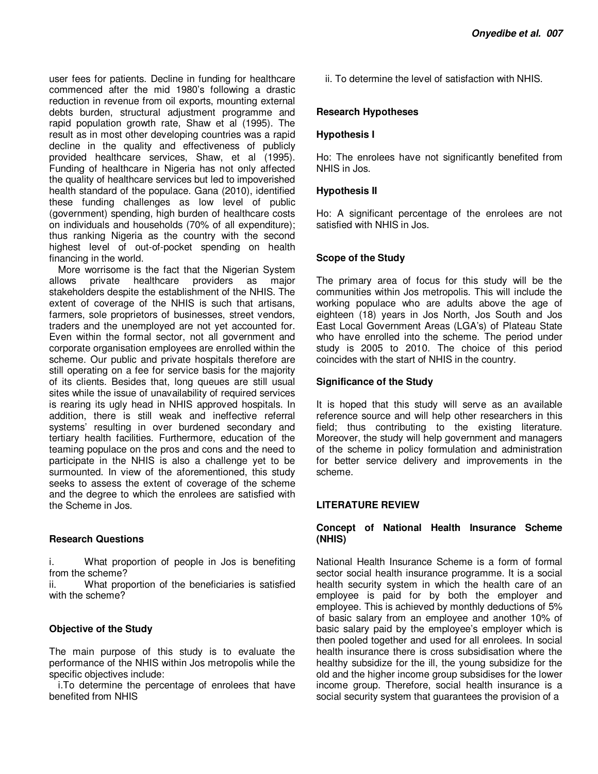user fees for patients. Decline in funding for healthcare commenced after the mid 1980's following a drastic reduction in revenue from oil exports, mounting external debts burden, structural adjustment programme and rapid population growth rate, Shaw et al (1995). The result as in most other developing countries was a rapid decline in the quality and effectiveness of publicly provided healthcare services, Shaw, et al (1995). Funding of healthcare in Nigeria has not only affected the quality of healthcare services but led to impoverished health standard of the populace. Gana (2010), identified these funding challenges as low level of public (government) spending, high burden of healthcare costs on individuals and households (70% of all expenditure); thus ranking Nigeria as the country with the second highest level of out-of-pocket spending on health financing in the world.

More worrisome is the fact that the Nigerian System allows private healthcare providers as major stakeholders despite the establishment of the NHIS. The extent of coverage of the NHIS is such that artisans, farmers, sole proprietors of businesses, street vendors, traders and the unemployed are not yet accounted for. Even within the formal sector, not all government and corporate organisation employees are enrolled within the scheme. Our public and private hospitals therefore are still operating on a fee for service basis for the majority of its clients. Besides that, long queues are still usual sites while the issue of unavailability of required services is rearing its ugly head in NHIS approved hospitals. In addition, there is still weak and ineffective referral systems' resulting in over burdened secondary and tertiary health facilities. Furthermore, education of the teaming populace on the pros and cons and the need to participate in the NHIS is also a challenge yet to be surmounted. In view of the aforementioned, this study seeks to assess the extent of coverage of the scheme and the degree to which the enrolees are satisfied with the Scheme in Jos.

## **Research Questions**

i. What proportion of people in Jos is benefiting from the scheme?

ii. What proportion of the beneficiaries is satisfied with the scheme?

## **Objective of the Study**

The main purpose of this study is to evaluate the performance of the NHIS within Jos metropolis while the specific objectives include:

i.To determine the percentage of enrolees that have benefited from NHIS

ii. To determine the level of satisfaction with NHIS.

## **Research Hypotheses**

#### **Hypothesis I**

Ho: The enrolees have not significantly benefited from NHIS in Jos.

#### **Hypothesis II**

Ho: A significant percentage of the enrolees are not satisfied with NHIS in Jos.

## **Scope of the Study**

The primary area of focus for this study will be the communities within Jos metropolis. This will include the working populace who are adults above the age of eighteen (18) years in Jos North, Jos South and Jos East Local Government Areas (LGA's) of Plateau State who have enrolled into the scheme. The period under study is 2005 to 2010. The choice of this period coincides with the start of NHIS in the country.

#### **Significance of the Study**

It is hoped that this study will serve as an available reference source and will help other researchers in this field; thus contributing to the existing literature. Moreover, the study will help government and managers of the scheme in policy formulation and administration for better service delivery and improvements in the scheme.

## **LITERATURE REVIEW**

## **Concept of National Health Insurance Scheme (NHIS)**

National Health Insurance Scheme is a form of formal sector social health insurance programme. It is a social health security system in which the health care of an employee is paid for by both the employer and employee. This is achieved by monthly deductions of 5% of basic salary from an employee and another 10% of basic salary paid by the employee's employer which is then pooled together and used for all enrolees. In social health insurance there is cross subsidisation where the healthy subsidize for the ill, the young subsidize for the old and the higher income group subsidises for the lower income group. Therefore, social health insurance is a social security system that guarantees the provision of a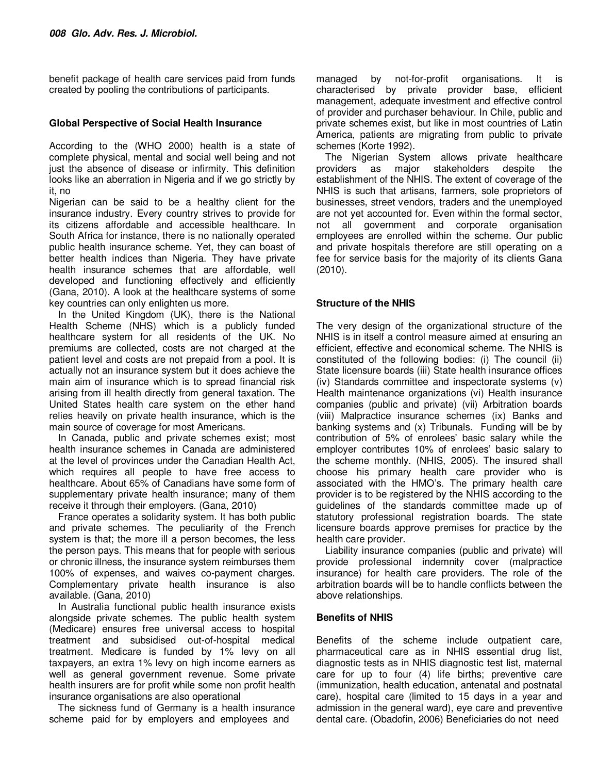benefit package of health care services paid from funds created by pooling the contributions of participants.

## **Global Perspective of Social Health Insurance**

According to the (WHO 2000) health is a state of complete physical, mental and social well being and not just the absence of disease or infirmity. This definition looks like an aberration in Nigeria and if we go strictly by it, no

Nigerian can be said to be a healthy client for the insurance industry. Every country strives to provide for its citizens affordable and accessible healthcare. In South Africa for instance, there is no nationally operated public health insurance scheme. Yet, they can boast of better health indices than Nigeria. They have private health insurance schemes that are affordable, well developed and functioning effectively and efficiently (Gana, 2010). A look at the healthcare systems of some key countries can only enlighten us more.

In the United Kingdom (UK), there is the National Health Scheme (NHS) which is a publicly funded healthcare system for all residents of the UK. No premiums are collected, costs are not charged at the patient level and costs are not prepaid from a pool. It is actually not an insurance system but it does achieve the main aim of insurance which is to spread financial risk arising from ill health directly from general taxation. The United States health care system on the ether hand relies heavily on private health insurance, which is the main source of coverage for most Americans.

In Canada, public and private schemes exist; most health insurance schemes in Canada are administered at the level of provinces under the Canadian Health Act, which requires all people to have free access to healthcare. About 65% of Canadians have some form of supplementary private health insurance; many of them receive it through their employers. (Gana, 2010)

France operates a solidarity system. It has both public and private schemes. The peculiarity of the French system is that; the more ill a person becomes, the less the person pays. This means that for people with serious or chronic illness, the insurance system reimburses them 100% of expenses, and waives co-payment charges. Complementary private health insurance is also available. (Gana, 2010)

In Australia functional public health insurance exists alongside private schemes. The public health system (Medicare) ensures free universal access to hospital treatment and subsidised out-of-hospital medical treatment. Medicare is funded by 1% levy on all taxpayers, an extra 1% levy on high income earners as well as general government revenue. Some private health insurers are for profit while some non profit health insurance organisations are also operational

The sickness fund of Germany is a health insurance scheme paid for by employers and employees and

managed by not-for-profit organisations. It is characterised by private provider base, efficient management, adequate investment and effective control of provider and purchaser behaviour. In Chile, public and private schemes exist, but like in most countries of Latin America, patients are migrating from public to private schemes (Korte 1992).

The Nigerian System allows private healthcare providers as major stakeholders despite the establishment of the NHIS. The extent of coverage of the NHIS is such that artisans, farmers, sole proprietors of businesses, street vendors, traders and the unemployed are not yet accounted for. Even within the formal sector, not all government and corporate organisation employees are enrolled within the scheme. Our public and private hospitals therefore are still operating on a fee for service basis for the majority of its clients Gana (2010).

## **Structure of the NHIS**

The very design of the organizational structure of the NHIS is in itself a control measure aimed at ensuring an efficient, effective and economical scheme. The NHIS is constituted of the following bodies: (i) The council (ii) State licensure boards (iii) State health insurance offices (iv) Standards committee and inspectorate systems (v) Health maintenance organizations (vi) Health insurance companies (public and private) (vii) Arbitration boards (viii) Malpractice insurance schemes (ix) Banks and banking systems and (x) Tribunals. Funding will be by contribution of 5% of enrolees' basic salary while the employer contributes 10% of enrolees' basic salary to the scheme monthly. (NHIS, 2005). The insured shall choose his primary health care provider who is associated with the HMO's. The primary health care provider is to be registered by the NHIS according to the guidelines of the standards committee made up of statutory professional registration boards. The state licensure boards approve premises for practice by the health care provider.

Liability insurance companies (public and private) will provide professional indemnity cover (malpractice insurance) for health care providers. The role of the arbitration boards will be to handle conflicts between the above relationships.

## **Benefits of NHIS**

Benefits of the scheme include outpatient care, pharmaceutical care as in NHIS essential drug list, diagnostic tests as in NHIS diagnostic test list, maternal care for up to four (4) life births; preventive care (immunization, health education, antenatal and postnatal care), hospital care (limited to 15 days in a year and admission in the general ward), eye care and preventive dental care. (Obadofin, 2006) Beneficiaries do not need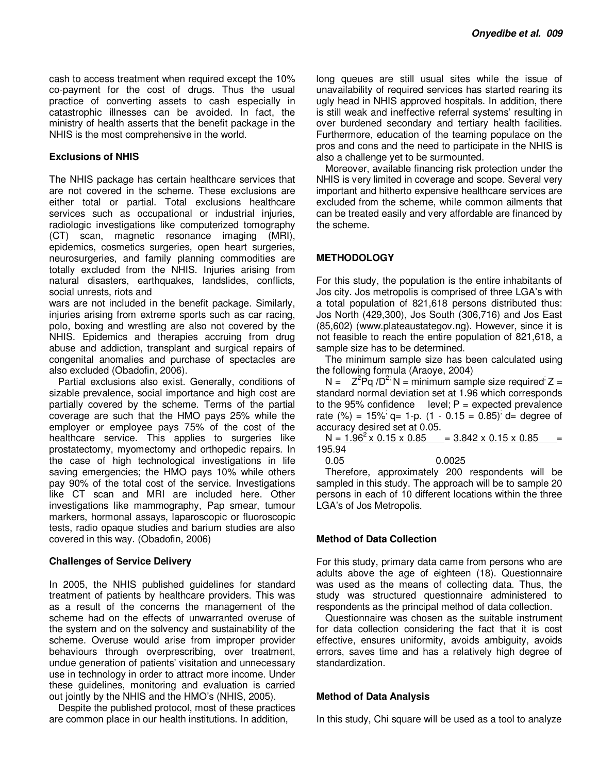cash to access treatment when required except the 10% co-payment for the cost of drugs. Thus the usual practice of converting assets to cash especially in catastrophic illnesses can be avoided. In fact, the ministry of health asserts that the benefit package in the NHIS is the most comprehensive in the world.

#### **Exclusions of NHIS**

The NHIS package has certain healthcare services that are not covered in the scheme. These exclusions are either total or partial. Total exclusions healthcare services such as occupational or industrial injuries, radiologic investigations like computerized tomography (CT) scan, magnetic resonance imaging (MRI), epidemics, cosmetics surgeries, open heart surgeries, neurosurgeries, and family planning commodities are totally excluded from the NHIS. Injuries arising from natural disasters, earthquakes, landslides, conflicts, social unrests, riots and

wars are not included in the benefit package. Similarly, injuries arising from extreme sports such as car racing, polo, boxing and wrestling are also not covered by the NHIS. Epidemics and therapies accruing from drug abuse and addiction, transplant and surgical repairs of congenital anomalies and purchase of spectacles are also excluded (Obadofin, 2006).

Partial exclusions also exist. Generally, conditions of sizable prevalence, social importance and high cost are partially covered by the scheme. Terms of the partial coverage are such that the HMO pays 25% while the employer or employee pays 75% of the cost of the healthcare service. This applies to surgeries like prostatectomy, myomectomy and orthopedic repairs. In the case of high technological investigations in life saving emergencies; the HMO pays 10% while others pay 90% of the total cost of the service. Investigations like CT scan and MRI are included here. Other investigations like mammography, Pap smear, tumour markers, hormonal assays, laparoscopic or fluoroscopic tests, radio opaque studies and barium studies are also covered in this way. (Obadofin, 2006)

#### **Challenges of Service Delivery**

In 2005, the NHIS published guidelines for standard treatment of patients by healthcare providers. This was as a result of the concerns the management of the scheme had on the effects of unwarranted overuse of the system and on the solvency and sustainability of the scheme. Overuse would arise from improper provider behaviours through overprescribing, over treatment, undue generation of patients' visitation and unnecessary use in technology in order to attract more income. Under these guidelines, monitoring and evaluation is carried out jointly by the NHIS and the HMO's (NHIS, 2005).

Despite the published protocol, most of these practices are common place in our health institutions. In addition,

long queues are still usual sites while the issue of unavailability of required services has started rearing its ugly head in NHIS approved hospitals. In addition, there is still weak and ineffective referral systems' resulting in over burdened secondary and tertiary health facilities. Furthermore, education of the teaming populace on the pros and cons and the need to participate in the NHIS is also a challenge yet to be surmounted.

Moreover, available financing risk protection under the NHIS is very limited in coverage and scope. Several very important and hitherto expensive healthcare services are excluded from the scheme, while common ailments that can be treated easily and very affordable are financed by the scheme.

## **METHODOLOGY**

For this study, the population is the entire inhabitants of Jos city. Jos metropolis is comprised of three LGA's with a total population of 821,618 persons distributed thus: Jos North (429,300), Jos South (306,716) and Jos East (85,602) (www.plateaustategov.ng). However, since it is not feasible to reach the entire population of 821,618, a sample size has to be determined.

The minimum sample size has been calculated using the following formula (Araoye, 2004)

 $N = Z^2Pq / D^2$ ;  $N = minimum$  sample size required;  $Z =$ standard normal deviation set at 1.96 which corresponds to the 95% confidence level;  $P =$  expected prevalence rate (%) = 15%  $q= 1-p$ . (1 - 0.15 = 0.85)  $d=$  degree of accuracy desired set at 0.05.

 $N = 1.96^2 \times 0.15 \times 0.85 = 3.842 \times 0.15 \times 0.85 =$ 195.94

0.05 0.0025

Therefore, approximately 200 respondents will be sampled in this study. The approach will be to sample 20 persons in each of 10 different locations within the three LGA's of Jos Metropolis.

#### **Method of Data Collection**

For this study, primary data came from persons who are adults above the age of eighteen (18). Questionnaire was used as the means of collecting data. Thus, the study was structured questionnaire administered to respondents as the principal method of data collection.

Questionnaire was chosen as the suitable instrument for data collection considering the fact that it is cost effective, ensures uniformity, avoids ambiguity, avoids errors, saves time and has a relatively high degree of standardization.

## **Method of Data Analysis**

In this study, Chi square will be used as a tool to analyze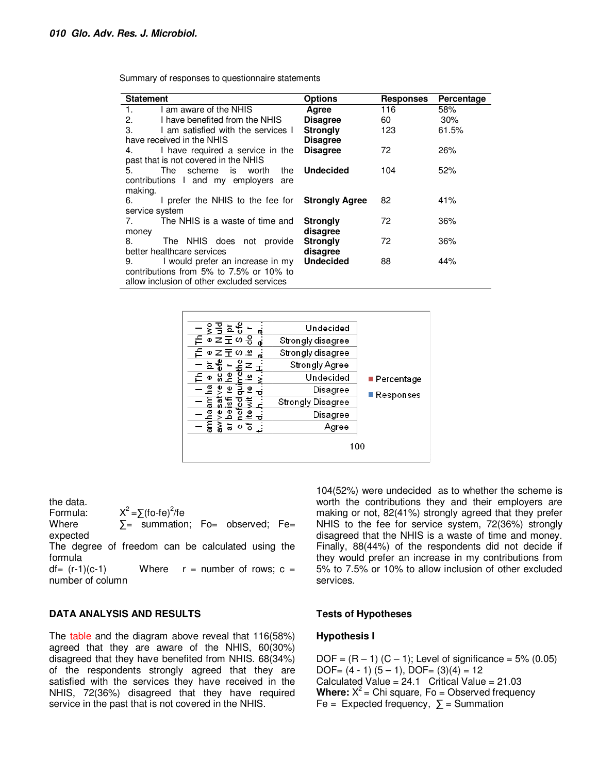Summary of responses to questionnaire statements

| <b>Statement</b>                                       | <b>Options</b>   | <b>Responses</b> | Percentage |  |
|--------------------------------------------------------|------------------|------------------|------------|--|
|                                                        |                  |                  |            |  |
| I am aware of the NHIS<br>1.                           | Agree            | 116              | 58%        |  |
| 2.<br>I have benefited from the NHIS                   | <b>Disagree</b>  | 60               | $30\%$     |  |
| 3.<br>I am satisfied with the services I               | <b>Strongly</b>  | 123              | 61.5%      |  |
| have received in the NHIS                              | <b>Disagree</b>  |                  |            |  |
| I have required a service in the<br>4.                 | <b>Disagree</b>  | 72               | 26%        |  |
| past that is not covered in the NHIS                   |                  |                  |            |  |
| The scheme is worth<br>5.<br>the                       | <b>Undecided</b> | 104              | 52%        |  |
| contributions I and my employers are                   |                  |                  |            |  |
| making.                                                |                  |                  |            |  |
| I prefer the NHIS to the fee for <b>Strongly Agree</b> |                  | 82               | 41%        |  |
| service system                                         |                  |                  |            |  |
| The NHIS is a waste of time and                        | Strongly         | 72               | 36%        |  |
| money                                                  | disagree         |                  |            |  |
| The NHIS does not provide<br>8.                        | <b>Strongly</b>  | 72               | 36%        |  |
| better healthcare services                             | disagree         |                  |            |  |
| 9. I would prefer an increase in my <b>Undecided</b>   |                  | 88               | 44%        |  |
| contributions from 5% to 7.5% or 10% to                |                  |                  |            |  |
| allow inclusion of other excluded services             |                  |                  |            |  |



the data.

Formula:  $=\sum (f \circ -f e)^2 / fe$ 

Where  $\Sigma =$  summation; Fo= observed; Fe= expected

The degree of freedom can be calculated using the formula

 $df = (r-1)(c-1)$  Where  $r =$  number of rows;  $c =$ number of column

#### **DATA ANALYSIS AND RESULTS**

The table and the diagram above reveal that 116(58%) agreed that they are aware of the NHIS, 60(30%) disagreed that they have benefited from NHIS. 68(34%) of the respondents strongly agreed that they are satisfied with the services they have received in the NHIS, 72(36%) disagreed that they have required service in the past that is not covered in the NHIS.

104(52%) were undecided as to whether the scheme is worth the contributions they and their employers are making or not, 82(41%) strongly agreed that they prefer NHIS to the fee for service system, 72(36%) strongly disagreed that the NHIS is a waste of time and money. Finally, 88(44%) of the respondents did not decide if they would prefer an increase in my contributions from 5% to 7.5% or 10% to allow inclusion of other excluded services.

#### **Tests of Hypotheses**

#### **Hypothesis I**

 $DOF = (R - 1) (C - 1)$ ; Level of significance = 5% (0.05) DOF=  $(4 - 1)$   $(5 - 1)$ , DOF=  $(3)(4) = 12$ Calculated Value =  $24.1$  Critical Value =  $21.03$ **Where:**  $X^2$  = Chi square, Fo = Observed frequency Fe = Expected frequency,  $\Sigma$  = Summation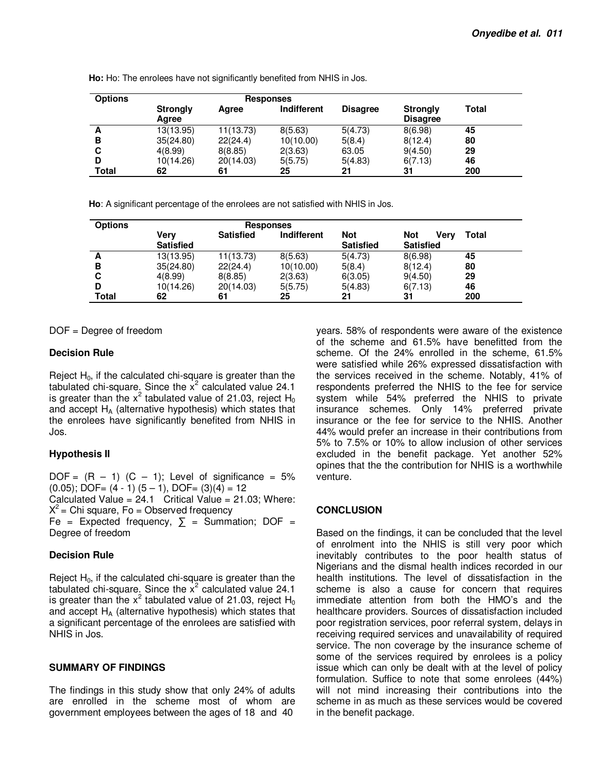| <b>Options</b> | <b>Responses</b>         |           |             |                 |                             |       |  |
|----------------|--------------------------|-----------|-------------|-----------------|-----------------------------|-------|--|
|                | <b>Strongly</b><br>Agree | Agree     | Indifferent | <b>Disagree</b> | Strongly<br><b>Disagree</b> | Total |  |
| A              | 13(13.95)                | 11(13.73) | 8(5.63)     | 5(4.73)         | 8(6.98)                     | 45    |  |
| в              | 35(24.80)                | 22(24.4)  | 10(10.00)   | 5(8.4)          | 8(12.4)                     | 80    |  |
| C              | 4(8.99)                  | 8(8.85)   | 2(3.63)     | 63.05           | 9(4.50)                     | 29    |  |
| D              | 10(14.26)                | 20(14.03) | 5(5.75)     | 5(4.83)         | 6(7.13)                     | 46    |  |
| Total          | 62                       | 61        | 25          | 21              | 31                          | 200   |  |

**Ho:** Ho: The enrolees have not significantly benefited from NHIS in Jos.

**Ho**: A significant percentage of the enrolees are not satisfied with NHIS in Jos.

| <b>Options</b> | Responses        |                  |                    |                  |                    |       |
|----------------|------------------|------------------|--------------------|------------------|--------------------|-------|
|                | Verv             | <b>Satisfied</b> | <b>Indifferent</b> | <b>Not</b>       | <b>Not</b><br>Verv | Total |
|                | <b>Satisfied</b> |                  |                    | <b>Satisfied</b> | <b>Satisfied</b>   |       |
| A              | 13(13.95)        | 11(13.73)        | 8(5.63)            | 5(4.73)          | 8(6.98)            | 45    |
| в              | 35(24.80)        | 22(24.4)         | 10(10.00)          | 5(8.4)           | 8(12.4)            | 80    |
|                | 4(8.99)          | 8(8.85)          | 2(3.63)            | 6(3.05)          | 9(4.50)            | 29    |
|                | 10(14.26)        | 20(14.03)        | 5(5.75)            | 5(4.83)          | 6(7.13)            | 46    |
| <b>Total</b>   | 62               | 61               | 25                 | 21               | 31                 | 200   |

DOF = Degree of freedom

#### **Decision Rule**

Reject  $H_0$ , if the calculated chi-square is greater than the tabulated chi-square. Since the  $x^2$  calculated value 24.1 is greater than the  $x^2$  tabulated value of 21.03, reject H<sub>0</sub> and accept  $H_A$  (alternative hypothesis) which states that the enrolees have significantly benefited from NHIS in Jos.

## **Hypothesis II**

 $DOF = (R - 1)$   $(C - 1)$ ; Level of significance = 5%  $(0.05)$ ; DOF=  $(4 - 1)$   $(5 - 1)$ , DOF=  $(3)(4) = 12$ Calculated Value =  $24.1$  Critical Value =  $21.03$ ; Where:  $X^2$  = Chi square, Fo = Observed frequency Fe = Expected frequency,  $\Sigma$  = Summation; DOF = Degree of freedom

## **Decision Rule**

Reject  $H_0$ , if the calculated chi-square is greater than the tabulated chi-square. Since the  $x^2$  calculated value 24.1 is greater than the  $x^2$  tabulated value of 21.03, reject  $H_0$ and accept  $H_A$  (alternative hypothesis) which states that a significant percentage of the enrolees are satisfied with NHIS in Jos.

## **SUMMARY OF FINDINGS**

The findings in this study show that only 24% of adults are enrolled in the scheme most of whom are government employees between the ages of 18 and 40

years. 58% of respondents were aware of the existence of the scheme and 61.5% have benefitted from the scheme. Of the 24% enrolled in the scheme, 61.5% were satisfied while 26% expressed dissatisfaction with the services received in the scheme. Notably, 41% of respondents preferred the NHIS to the fee for service system while 54% preferred the NHIS to private insurance schemes. Only 14% preferred private insurance or the fee for service to the NHIS. Another 44% would prefer an increase in their contributions from 5% to 7.5% or 10% to allow inclusion of other services excluded in the benefit package. Yet another 52% opines that the the contribution for NHIS is a worthwhile venture.

## **CONCLUSION**

Based on the findings, it can be concluded that the level of enrolment into the NHIS is still very poor which inevitably contributes to the poor health status of Nigerians and the dismal health indices recorded in our health institutions. The level of dissatisfaction in the scheme is also a cause for concern that requires immediate attention from both the HMO's and the healthcare providers. Sources of dissatisfaction included poor registration services, poor referral system, delays in receiving required services and unavailability of required service. The non coverage by the insurance scheme of some of the services required by enrolees is a policy issue which can only be dealt with at the level of policy formulation. Suffice to note that some enrolees (44%) will not mind increasing their contributions into the scheme in as much as these services would be covered in the benefit package.